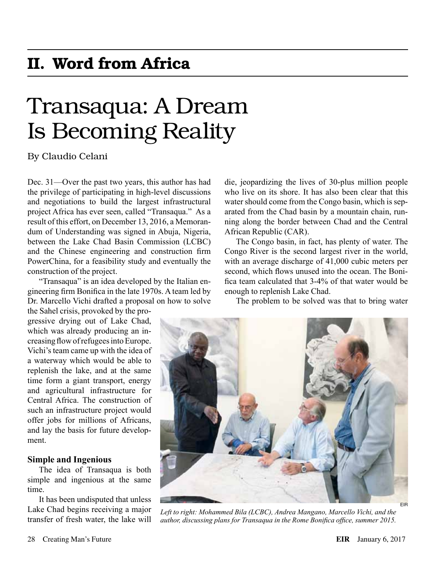## II. Word from Africa

# Transaqua: A Dream Is Becoming Reality

### By Claudio Celani

Dec. 31—Over the past two years, this author has had the privilege of participating in high-level discussions and negotiations to build the largest infrastructural project Africa has ever seen, called "Transaqua." As a result of this effort, on December 13, 2016, a Memorandum of Understanding was signed in Abuja, Nigeria, between the Lake Chad Basin Commission (LCBC) and the Chinese engineering and construction firm PowerChina, for a feasibility study and eventually the construction of the project.

"Transaqua" is an idea developed by the Italian engineering firm Bonifica in the late 1970s. A team led by Dr. Marcello Vichi drafted a proposal on how to solve

the Sahel crisis, provoked by the progressive drying out of Lake Chad, which was already producing an increasing flow of refugees into Europe. Vichi's team came up with the idea of a waterway which would be able to replenish the lake, and at the same time form a giant transport, energy and agricultural infrastructure for Central Africa. The construction of such an infrastructure project would offer jobs for millions of Africans, and lay the basis for future development.

#### **Simple and Ingenious**

The idea of Transaqua is both simple and ingenious at the same time.

It has been undisputed that unless Lake Chad begins receiving a major transfer of fresh water, the lake will

die, jeopardizing the lives of 30-plus million people who live on its shore. It has also been clear that this water should come from the Congo basin, which is separated from the Chad basin by a mountain chain, running along the border between Chad and the Central African Republic (CAR).

The Congo basin, in fact, has plenty of water. The Congo River is the second largest river in the world, with an average discharge of 41,000 cubic meters per second, which flows unused into the ocean. The Bonifica team calculated that 3-4% of that water would be enough to replenish Lake Chad.

The problem to be solved was that to bring water



Left to right: Mohammed Bila (LCBC), Andrea Mangano, Marcello Vichi, and the *author, discussing plans for Transaqua in the Rome Bonifica office, summer 2015.*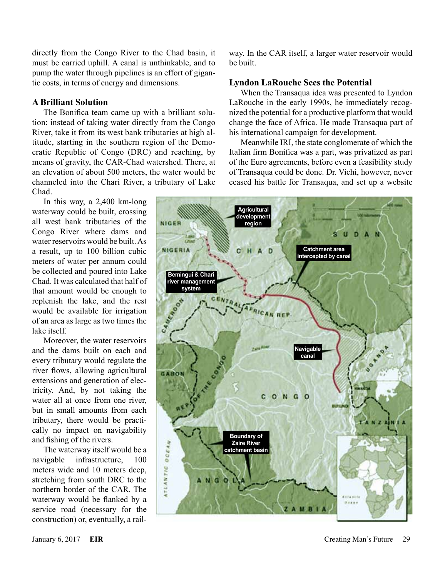directly from the Congo River to the Chad basin, it must be carried uphill. A canal is unthinkable, and to pump the water through pipelines is an effort of gigantic costs, in terms of energy and dimensions.

#### **A Brilliant Solution**

The Bonifica team came up with a brilliant solution: instead of taking water directly from the Congo River, take it from its west bank tributaries at high altitude, starting in the southern region of the Democratic Republic of Congo (DRC) and reaching, by means of gravity, the CAR-Chad watershed. There, at an elevation of about 500 meters, the water would be channeled into the Chari River, a tributary of Lake Chad.

In this way, a 2,400 km-long waterway could be built, crossing all west bank tributaries of the Congo River where dams and water reservoirs would be built. As a result, up to 100 billion cubic meters of water per annum could be collected and poured into Lake Chad. It was calculated that half of that amount would be enough to replenish the lake, and the rest would be available for irrigation of an area as large as two times the lake itself.

Moreover, the water reservoirs and the dams built on each and every tributary would regulate the river flows, allowing agricultural extensions and generation of electricity. And, by not taking the water all at once from one river but in small amounts from each tributary, there would be practically no impact on navigability and fishing of the rivers.

The waterway itself would be a navigable infrastructure, 100 meters wide and 10 meters deep, stretching from south DRC to the northern border of the CAR. The waterway would be flanked by a service road (necessary for the construction) or, eventually, a railway. In the CAR itself, a larger water reservoir would be built.

#### **Lyndon LaRouche Sees the Potential**

When the Transaqua idea was presented to Lyndon LaRouche in the early 1990s, he immediately recognized the potential for a productive platform that would change the face of Africa. He made Transaqua part of his international campaign for development.

Meanwhile IRI, the state conglomerate of which the Italian firm Bonifica was a part, was privatized as part of the Euro agreements, before even a feasibility study of Transaqua could be done. Dr. Vichi, however, never ceased his battle for Transaqua, and set up a website

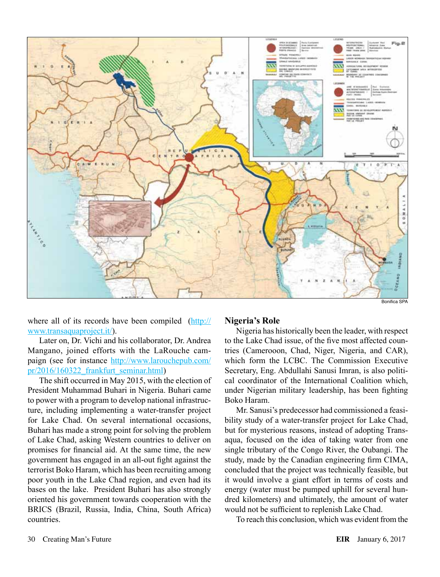

Bonifica SPA

where all of its records have been compiled ([http://](http://www.transaquaproject.it/) [www.transaquaproject.it/\)](http://www.transaquaproject.it/).

Later on, Dr. Vichi and his collaborator, Dr. Andrea Mangano, joined efforts with the LaRouche campaign (see for instance [http://www.larouchepub.com/](http://www.larouchepub.com/pr/2016/160322_frankfurt_seminar.html) [pr/2016/160322\\_frankfurt\\_seminar.html\)](http://www.larouchepub.com/pr/2016/160322_frankfurt_seminar.html)

The shift occurred in May 2015, with the election of President Muhammad Buhari in Nigeria. Buhari came to power with a program to develop national infrastructure, including implementing a water-transfer project for Lake Chad. On several international occasions, Buhari has made a strong point for solving the problem of Lake Chad, asking Western countries to deliver on promises for financial aid. At the same time, the new government has engaged in an all-out fight against the terrorist Boko Haram, which has been recruiting among poor youth in the Lake Chad region, and even had its bases on the lake. President Buhari has also strongly oriented his government towards cooperation with the BRICS (Brazil, Russia, India, China, South Africa) countries.

#### **Nigeria's Role**

Nigeria has historically been the leader, with respect to the Lake Chad issue, of the five most affected countries (Camerooon, Chad, Niger, Nigeria, and CAR), which form the LCBC. The Commission Executive Secretary, Eng. Abdullahi Sanusi Imran, is also political coordinator of the International Coalition which, under Nigerian military leadership, has been fighting Boko Haram.

Mr. Sanusi's predecessor had commissioned a feasibility study of a water-transfer project for Lake Chad, but for mysterious reasons, instead of adopting Transaqua, focused on the idea of taking water from one single tributary of the Congo River, the Oubangi. The study, made by the Canadian engineering firm CIMA, concluded that the project was technically feasible, but it would involve a giant effort in terms of costs and energy (water must be pumped uphill for several hundred kilometers) and ultimately, the amount of water would not be sufficient to replenish Lake Chad.

To reach this conclusion, which was evident from the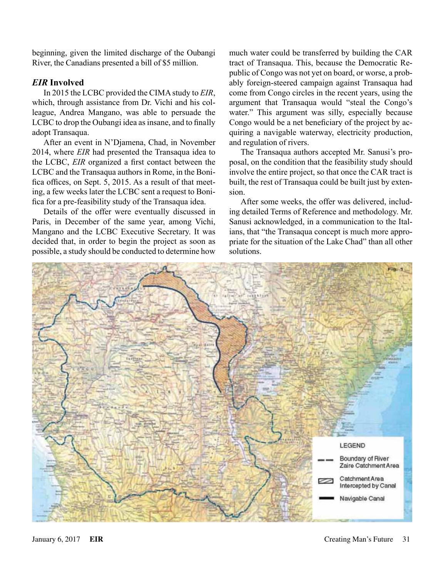beginning, given the limited discharge of the Oubangi River, the Canadians presented a bill of \$5 million.

### *EIR* **Involved**

In 2015 the LCBC provided the CIMA study to *EIR*, which, through assistance from Dr. Vichi and his colleague, Andrea Mangano, was able to persuade the LCBC to drop the Oubangi idea as insane, and to finally adopt Transaqua.

After an event in N'Djamena, Chad, in November 2014, where *EIR* had presented the Transaqua idea to the LCBC, *EIR* organized a first contact between the LCBC and the Transaqua authors in Rome, in the Bonifica offices, on Sept. 5, 2015. As a result of that meeting, a few weeks later the LCBC sent a request to Bonifica for a pre-feasibility study of the Transaqua idea.

Details of the offer were eventually discussed in Paris, in December of the same year, among Vichi, Mangano and the LCBC Executive Secretary. It was decided that, in order to begin the project as soon as possible, a study should be conducted to determine how

much water could be transferred by building the CAR tract of Transaqua. This, because the Democratic Republic of Congo was not yet on board, or worse, a probably foreign-steered campaign against Transaqua had come from Congo circles in the recent years, using the argument that Transaqua would "steal the Congo's water." This argument was silly, especially because Congo would be a net beneficiary of the project by acquiring a navigable waterway, electricity production, and regulation of rivers.

The Transaqua authors accepted Mr. Sanusi's proposal, on the condition that the feasibility study should involve the entire project, so that once the CAR tract is built, the rest of Transaqua could be built just by extension.

After some weeks, the offer was delivered, including detailed Terms of Reference and methodology. Mr. Sanusi acknowledged, in a communication to the Italians, that "the Transaqua concept is much more appropriate for the situation of the Lake Chad" than all other solutions.